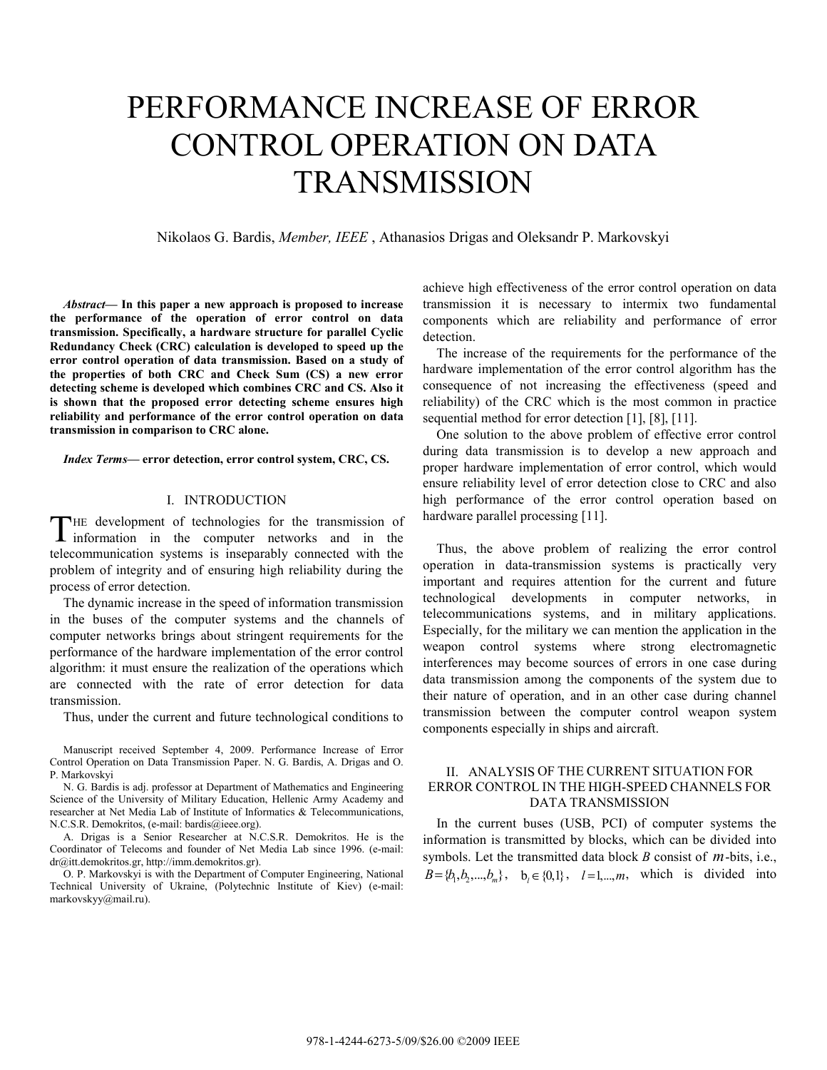# PERFORMANCE INCREASE OF ERROR CONTROL OPERATION ON DATA **TRANSMISSION**

Nikolaos G. Bardis, *Member, IEEE* , Athanasios Drigas and Oleksandr P. Markovskyi

*Abstract***— In this paper a new approach is proposed to increase the performance of the operation of error control on data transmission. Specifically, a hardware structure for parallel Cyclic Redundancy Check (CRC) calculation is developed to speed up the error control operation of data transmission. Based on a study of the properties of both CRC and Check Sum (CS) a new error detecting scheme is developed which combines CRC and CS. Also it is shown that the proposed error detecting scheme ensures high reliability and performance of the error control operation on data transmission in comparison to CRC alone.** 

*Index Terms***— error detection, error control system, CRC, CS.** 

## I. INTRODUCTION

HE development of technologies for the transmission of information in the computer networks and in the telecommunication systems is inseparably connected with the problem of integrity and of ensuring high reliability during the process of error detection. T

The dynamic increase in the speed of information transmission in the buses of the computer systems and the channels of computer networks brings about stringent requirements for the performance of the hardware implementation of the error control algorithm: it must ensure the realization of the operations which are connected with the rate of error detection for data transmission.

Thus, under the current and future technological conditions to

Manuscript received September 4, 2009. Performance Increase of Error Control Operation on Data Transmission Paper. N. G. Bardis, A. Drigas and O. P. Markovskyi

N. G. Bardis is adj. professor at Department of Mathematics and Engineering Science of the University of Military Education, Hellenic Army Academy and researcher at Net Media Lab of Institute of Informatics & Telecommunications, N.C.S.R. Demokritos, (e-mail: bardis@ieee.org).

A. Drigas is a Senior Researcher at N.C.S.R. Demokritos. He is the Coordinator of Telecoms and founder of Net Media Lab since 1996. (e-mail: dr@itt.demokritos.gr, http://imm.demokritos.gr).

O. P. Markovskyi is with the Department of Computer Engineering, National Technical University of Ukraine, (Polytechnic Institute of Kiev) (e-mail: markovskyy@mail.ru).

achieve high effectiveness of the error control operation on data transmission it is necessary to intermix two fundamental components which are reliability and performance of error detection.

The increase of the requirements for the performance of the hardware implementation of the error control algorithm has the consequence of not increasing the effectiveness (speed and reliability) of the CRC which is the most common in practice sequential method for error detection [1], [8], [11].

One solution to the above problem of effective error control during data transmission is to develop a new approach and proper hardware implementation of error control, which would ensure reliability level of error detection close to CRC and also high performance of the error control operation based on hardware parallel processing [11].

Thus, the above problem of realizing the error control operation in data-transmission systems is practically very important and requires attention for the current and future technological developments in computer networks, in telecommunications systems, and in military applications. Especially, for the military we can mention the application in the weapon control systems where strong electromagnetic interferences may become sources of errors in one case during data transmission among the components of the system due to their nature of operation, and in an other case during channel transmission between the computer control weapon system components especially in ships and aircraft.

## II. ANALYSIS OF THE CURRENT SITUATION FOR ERROR CONTROL IN THE HIGH-SPEED CHANNELS FOR DATA TRANSMISSION

In the current buses (USB, PCI) of computer systems the information is transmitted by blocks, which can be divided into symbols. Let the transmitted data block *В* consist of *m*-bits, i.e.,  $B = \{b_1, b_2, ..., b_m\}, \quad b_i \in \{0, 1\}, \quad l = 1, ..., m,$  which is divided into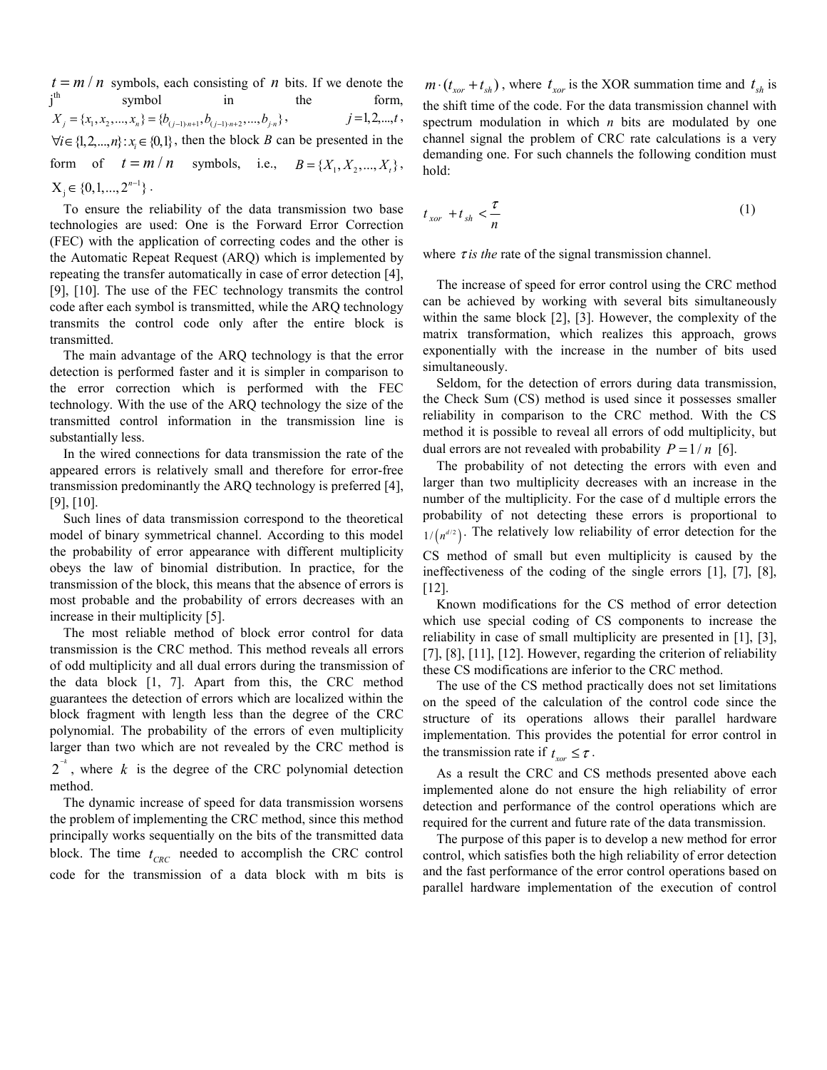$t = m/n$  symbols, each consisting of *n* bits. If we denote the  $i<sup>th</sup>$ th symbol in the form,  $X_i = \{x_1, x_2, ..., x_n\} = \{b_{(i-1)}\}_{n=1}^n, b_{(i-1)}\}_{n=1}^n, b_{i,n}$ ,  $j = 1, 2, ..., t$ ,  $\forall i \in \{1, 2, ..., n\} : x_i \in \{0,1\}$ , then the block *B* can be presented in the form of  $t = m/n$  symbols, i.e.,  $B = \{X_1, X_2, ..., X_t\}$ ,  $X_j \in \{0, 1, ..., 2^{n-1}\}$ .

To ensure the reliability of the data transmission two base technologies are used: One is the Forward Error Correction (FEC) with the application of correcting codes and the other is the Automatic Repeat Request (ARQ) which is implemented by repeating the transfer automatically in case of error detection [4], [9], [10]. The use of the FEC technology transmits the control code after each symbol is transmitted, while the ARQ technology transmits the control code only after the entire block is transmitted.

The main advantage of the ARQ technology is that the error detection is performed faster and it is simpler in comparison to the error correction which is performed with the FEC technology. With the use of the ARQ technology the size of the transmitted control information in the transmission line is substantially less.

In the wired connections for data transmission the rate of the appeared errors is relatively small and therefore for error-free transmission predominantly the ARQ technology is preferred [4], [9], [10].

Such lines of data transmission correspond to the theoretical model of binary symmetrical channel. According to this model the probability of error appearance with different multiplicity obeys the law of binomial distribution. In practice, for the transmission of the block, this means that the absence of errors is most probable and the probability of errors decreases with an increase in their multiplicity [5].

The most reliable method of block error control for data transmission is the CRC method. This method reveals all errors of odd multiplicity and all dual errors during the transmission of the data block [1, 7]. Apart from this, the CRC method guarantees the detection of errors which are localized within the block fragment with length less than the degree of the CRC polynomial. The probability of the errors of even multiplicity larger than two which are not revealed by the CRC method is

 $2^{-k}$ , where *k* is the degree of the CRC polynomial detection method.

The dynamic increase of speed for data transmission worsens the problem of implementing the CRC method, since this method principally works sequentially on the bits of the transmitted data block. The time  $t_{CRC}$  needed to accomplish the CRC control code for the transmission of a data block with m bits is

 $m \cdot ( t_{\text{xor}} + t_{\text{sh}} )$ , where  $t_{\text{xor}}$  is the XOR summation time and  $t_{\text{sh}}$  is the shift time of the code. For the data transmission channel with spectrum modulation in which *n* bits are modulated by one channel signal the problem of CRC rate calculations is a very demanding one. For such channels the following condition must hold:

$$
t_{xor} + t_{sh} < \frac{\tau}{n} \tag{1}
$$

where  $\tau$  *is the* rate of the signal transmission channel.

The increase of speed for error control using the CRC method can be achieved by working with several bits simultaneously within the same block [2], [3]. However, the complexity of the matrix transformation, which realizes this approach, grows exponentially with the increase in the number of bits used simultaneously.

Seldom, for the detection of errors during data transmission, the Check Sum (CS) method is used since it possesses smaller reliability in comparison to the CRC method. With the CS method it is possible to reveal all errors of odd multiplicity, but dual errors are not revealed with probability  $P = 1/n$  [6].

The probability of not detecting the errors with even and larger than two multiplicity decreases with an increase in the number of the multiplicity. For the case of d multiple errors the probability of not detecting these errors is proportional to  $1/(n^{d/2})$ . The relatively low reliability of error detection for the CS method of small but even multiplicity is caused by the ineffectiveness of the coding of the single errors [1], [7], [8], [12].

Known modifications for the CS method of error detection which use special coding of CS components to increase the reliability in case of small multiplicity are presented in [1], [3], [7], [8], [11], [12]. However, regarding the criterion of reliability these CS modifications are inferior to the CRC method.

The use of the CS method practically does not set limitations on the speed of the calculation of the control code since the structure of its operations allows their parallel hardware implementation. This provides the potential for error control in the transmission rate if  $t_{\text{tor}} \leq \tau$ .

As a result the CRC and CS methods presented above each implemented alone do not ensure the high reliability of error detection and performance of the control operations which are required for the current and future rate of the data transmission.

The purpose of this paper is to develop a new method for error control, which satisfies both the high reliability of error detection and the fast performance of the error control operations based on parallel hardware implementation of the execution of control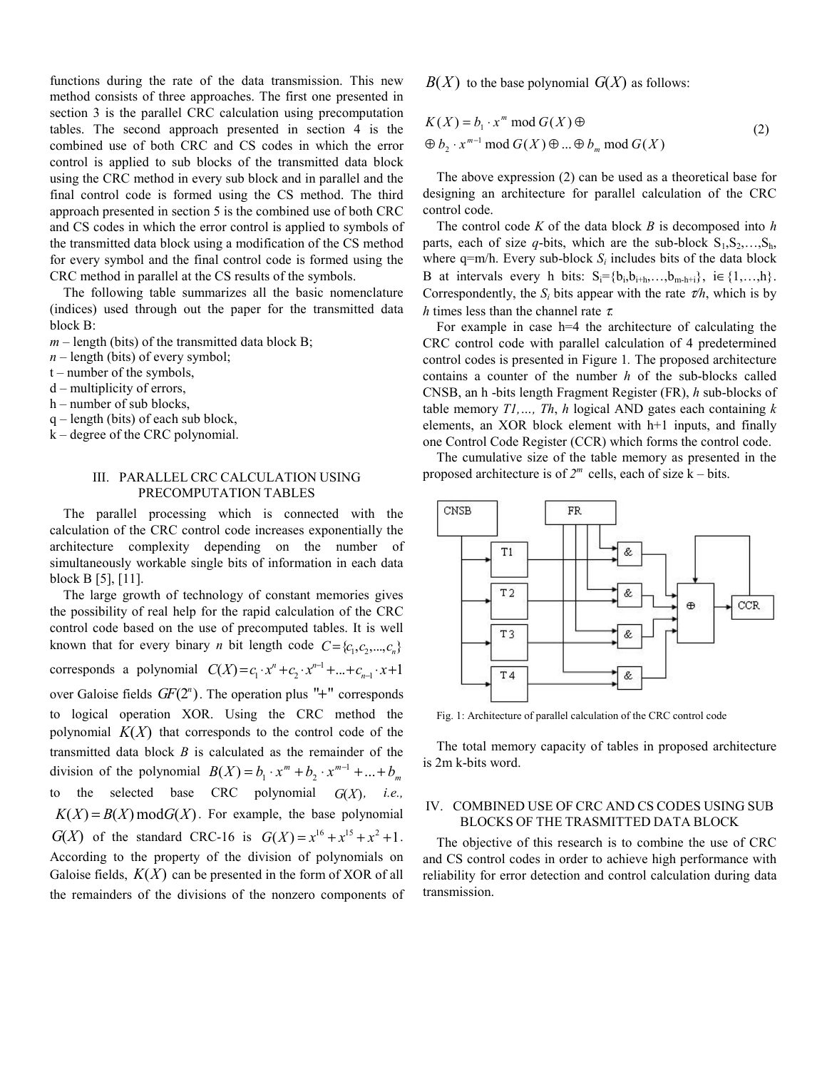functions during the rate of the data transmission. This new method consists of three approaches. The first one presented in section 3 is the parallel CRC calculation using precomputation tables. The second approach presented in section 4 is the combined use of both CRC and CS codes in which the error control is applied to sub blocks of the transmitted data block using the CRC method in every sub block and in parallel and the final control code is formed using the CS method. The third approach presented in section 5 is the combined use of both CRC and CS codes in which the error control is applied to symbols of the transmitted data block using a modification of the CS method for every symbol and the final control code is formed using the CRC method in parallel at the CS results of the symbols.

The following table summarizes all the basic nomenclature (indices) used through out the paper for the transmitted data block B:

 $m$  – length (bits) of the transmitted data block B;

*n* – length (bits) of every symbol;

- t number of the symbols,
- d multiplicity of errors,
- h number of sub blocks,
- q length (bits) of each sub block,
- k degree of the CRC polynomial.

## III. PARALLEL CRC CALCULATION USING PRECOMPUTATION TABLES

The parallel processing which is connected with the calculation of the CRC control code increases exponentially the architecture complexity depending on the number of simultaneously workable single bits of information in each data block B [5], [11].

The large growth of technology of constant memories gives the possibility of real help for the rapid calculation of the CRC control code based on the use of precomputed tables. It is well known that for every binary *n* bit length code  $C = \{c_1, c_2, ..., c_n\}$ corresponds a polynomial  $C(X) = c_1 \cdot x^n + c_2 \cdot x^{n-1} + ... + c_{n-1} \cdot x + 1$ over Galoise fields  $GF(2^n)$ . The operation plus " $+$ " corresponds to logical operation XOR. Using the CRC method the polynomial  $K(X)$  that corresponds to the control code of the transmitted data block *В* is calculated as the remainder of the division of the polynomial  $B(X) = b_1 \cdot x^m + b_2 \cdot x^{m-1} + ... + b_m$ to the selected base CRC polynomial  $G(X)$ , *i.e.*,  $K(X) = B(X) \text{ mod } G(X)$ . For example, the base polynomial *G(X)* of the standard CRC-16 is  $G(X) = x^{16} + x^{15} + x^2 + 1$ . According to the property of the division of polynomials on Galoise fields,  $K(X)$  can be presented in the form of XOR of all the remainders of the divisions of the nonzero components of  $B(X)$  to the base polynomial  $G(X)$  as follows:

$$
K(X) = b_1 \cdot x^m \mod G(X) \oplus
$$
  
\n
$$
\oplus b_2 \cdot x^{m-1} \mod G(X) \oplus ... \oplus b_m \mod G(X)
$$
 (2)

The above expression (2) can be used as a theoretical base for designing an architecture for parallel calculation of the CRC control code.

The control code *K* of the data block *В* is decomposed into *h* parts, each of size *q*-bits, which are the sub-block  $S_1, S_2, \ldots, S_h$ , where  $q=m/h$ . Every sub-block  $S_i$  includes bits of the data block B at intervals every h bits:  $S_i = \{b_i, b_{i+h}, \ldots, b_{m-h+i}\}, i \in \{1, \ldots, h\}.$ Correspondently, the  $S_i$  bits appear with the rate  $\tau/h$ , which is by *h* times less than the channel rate τ*.* 

For example in case h=4 the architecture of calculating the CRC control code with parallel calculation of 4 predetermined control codes is presented in Figure 1*.* The proposed architecture contains a counter of the number *h* of the sub-blocks called СNSB, an h -bits length Fragment Register (FR), *h* sub-blocks of table memory *Т1,…, Тh*, *h* logical AND gates each containing *k* elements, an XOR block element with h+1 inputs, and finally one Control Code Register (CCR) which forms the control code.

The cumulative size of the table memory as presented in the proposed architecture is of  $2^m$  cells, each of size k – bits.



Fig. 1: Architecture of parallel calculation of the CRC control code

The total memory capacity of tables in proposed architecture is 2m k-bits word.

## IV. COMBINED USE OF CRC AND CS CODES USING SUB BLOCKS OF THE TRASMITTED DATA BLOCK

The objective of this research is to combine the use of CRC and CS control codes in order to achieve high performance with reliability for error detection and control calculation during data transmission.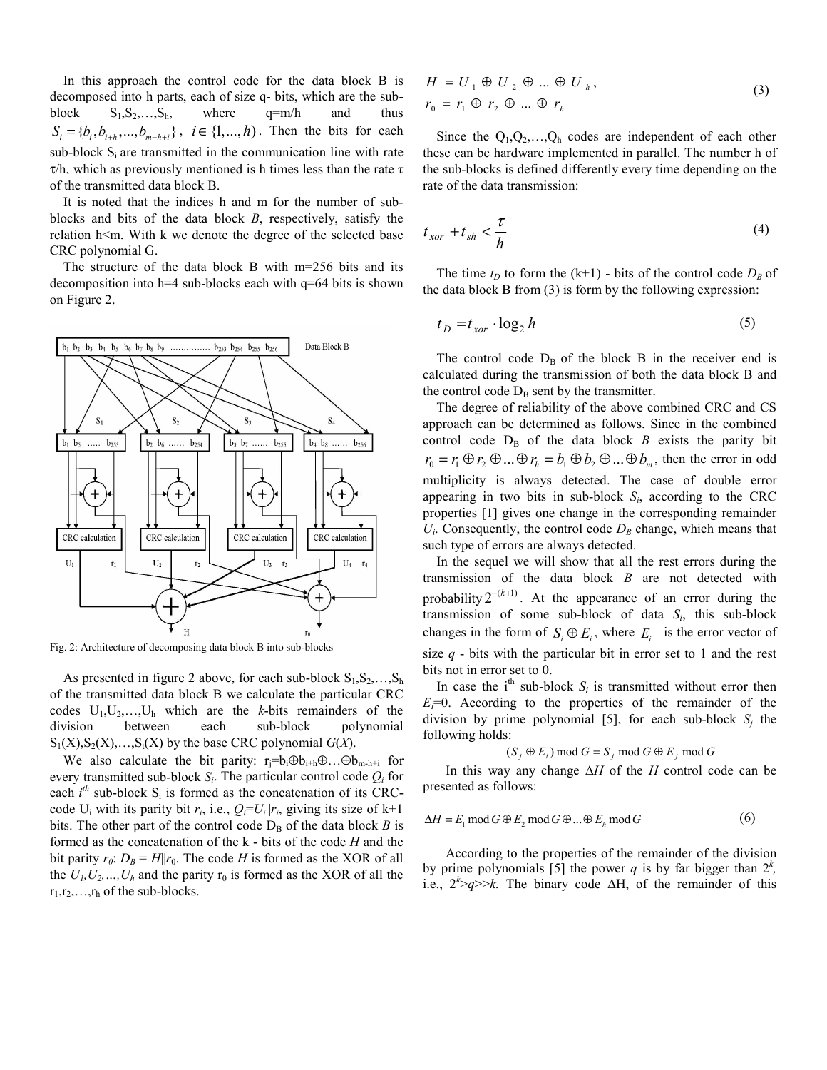In this approach the control code for the data block В is decomposed into h parts, each of size q- bits, which are the subblock  $S_1, S_2, \ldots, S_h$ , where  $q=m/h$  and thus  ${S_i = \{b_i, b_{i+h}, ..., b_{m-h+i}\}\,$ ,  $i \in \{1, ..., h\}$ . Then the bits for each sub-block  $S_i$  are transmitted in the communication line with rate  $\tau$ /h, which as previously mentioned is h times less than the rate  $\tau$ of the transmitted data block B.

It is noted that the indices h and m for the number of subblocks and bits of the data block *B*, respectively, satisfy the relation h<m. With k we denote the degree of the selected base CRC polynomial G.

The structure of the data block B with m=256 bits and its decomposition into h=4 sub-blocks each with q=64 bits is shown on Figure 2.



Fig. 2: Architecture of decomposing data block B into sub-blocks

As presented in figure 2 above, for each sub-block  $S_1, S_2, \ldots, S_h$ of the transmitted data block B we calculate the particular CRC codes  $U_1, U_2, \ldots, U_h$  which are the *k*-bits remainders of the division between each sub-block polynomial  $S_1(X), S_2(X), \ldots, S_t(X)$  by the base CRC polynomial  $G(X)$ .

We also calculate the bit parity: r<sub>i</sub>=b<sub>i</sub> $\oplus$ b<sub>i+h</sub> $\oplus$ ... $\oplus$ b<sub>m-h+i</sub> for every transmitted sub-block  $S_i$ . The particular control code  $O_i$  for each  $i^{th}$  sub-block  $S_i$  is formed as the concatenation of its CRCcode U<sub>i</sub> with its parity bit  $r_i$ , i.e.,  $Q_i = U_i || r_i$ , giving its size of k+1 bits. The other part of the control code  $D_B$  of the data block *B* is formed as the concatenation of the k - bits of the code *H* and the bit parity  $r_0$ :  $D_B = H||r_0$ . The code *H* is formed as the XOR of all the  $U_1, U_2, \ldots, U_h$  and the parity  $r_0$  is formed as the XOR of all the  $r_1, r_2, \ldots, r_h$  of the sub-blocks.

$$
H = U_1 \oplus U_2 \oplus \dots \oplus U_h,
$$
  
\n
$$
r_0 = r_1 \oplus r_2 \oplus \dots \oplus r_h
$$
 (3)

Since the  $Q_1, Q_2, \ldots, Q_h$  codes are independent of each other these can be hardware implemented in parallel. The number h of the sub-blocks is defined differently every time depending on the rate of the data transmission:

$$
t_{xor} + t_{sh} < \frac{\tau}{h} \tag{4}
$$

The time  $t_D$  to form the (k+1) - bits of the control code  $D_B$  of the data block B from (3) is form by the following expression:

$$
t_D = t_{xor} \cdot \log_2 h \tag{5}
$$

The control code  $D_B$  of the block B in the receiver end is calculated during the transmission of both the data block B and the control code  $D_B$  sent by the transmitter.

The degree of reliability of the above combined CRC and CS approach can be determined as follows. Since in the combined control code  $D_B$  of the data block  $B$  exists the parity bit  $r_0 = r_1 \oplus r_2 \oplus ... \oplus r_h = b_1 \oplus b_2 \oplus ... \oplus b_m$ , then the error in odd multiplicity is always detected. The case of double error appearing in two bits in sub-block  $S_i$ , according to the CRC properties [1] gives one change in the corresponding remainder  $U_i$ . Consequently, the control code  $D_B$  change, which means that such type of errors are always detected.

In the sequel we will show that all the rest errors during the transmission of the data block *B* are not detected with probability  $2^{-(k+1)}$ . At the appearance of an error during the transmission of some sub-block of data *Si*, this sub-block changes in the form of  $S_i \oplus E_i$ , where  $E_i$  is the error vector of size  $q$  - bits with the particular bit in error set to 1 and the rest bits not in error set to 0.

In case the  $i<sup>th</sup>$  sub-block  $S_i$  is transmitted without error then  $E_i=0$ . According to the properties of the remainder of the division by prime polynomial [5], for each sub-block  $S_i$  the following holds:

$$
(S_j \oplus E_i) \mod G = S_j \mod G \oplus E_j \mod G
$$

In this way any change Δ*H* of the *H* control code can be presented as follows:

$$
\Delta H = E_1 \mod G \oplus E_2 \mod G \oplus ... \oplus E_h \mod G \tag{6}
$$

According to the properties of the remainder of the division by prime polynomials [5] the power *q* is by far bigger than  $2^k$ , i.e.,  $2^k > q \gg k$ . The binary code  $\Delta H$ , of the remainder of this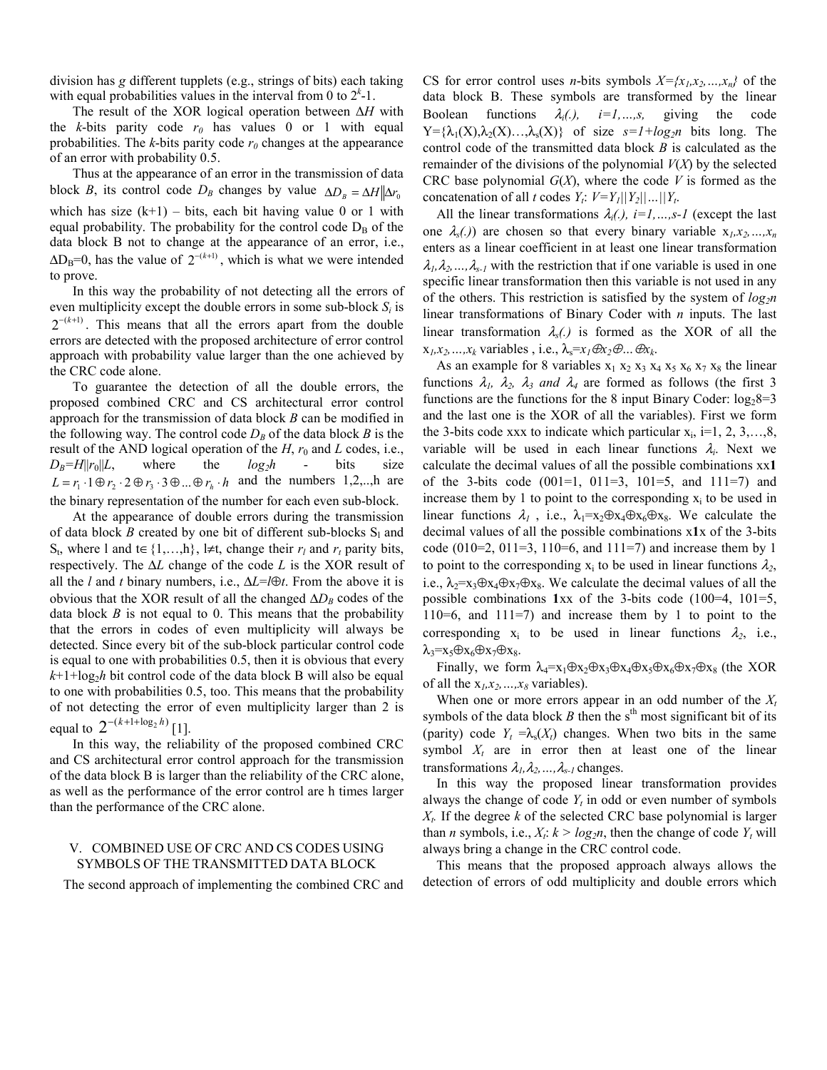division has *g* different tupplets (e.g., strings of bits) each taking with equal probabilities values in the interval from  $0$  to  $2<sup>k</sup>$ -1.

The result of the XOR logical operation between Δ*H* with the  $k$ -bits parity code  $r_0$  has values 0 or 1 with equal probabilities. The  $k$ -bits parity code  $r<sub>0</sub>$  changes at the appearance of an error with probability 0.5.

Thus at the appearance of an error in the transmission of data block *B*, its control code  $D_B$  changes by value  $\Delta D_B = \Delta H \Delta r_0$ which has size  $(k+1)$  – bits, each bit having value 0 or 1 with equal probability. The probability for the control code  $D_B$  of the data block B not to change at the appearance of an error, i.e.,  $\Delta D_B=0$ , has the value of  $2^{-(k+1)}$ , which is what we were intended to prove.

In this way the probability of not detecting all the errors of even multiplicity except the double errors in some sub-block  $S_i$  is  $2^{-(k+1)}$ . This means that all the errors apart from the double errors are detected with the proposed architecture of error control approach with probability value larger than the one achieved by the CRC code alone.

To guarantee the detection of all the double errors, the proposed combined CRC and CS architectural error control approach for the transmission of data block *B* can be modified in the following way. The control code  $D_B$  of the data block *B* is the result of the AND logical operation of the  $H$ ,  $r_0$  and  $L$  codes, i.e.,  $D_B = H||r_0||L$ , where the  $log_2h$  - bits size  $L = r_1 \cdot 1 \oplus r_2 \cdot 2 \oplus r_3 \cdot 3 \oplus ... \oplus r_h \cdot h$  and the numbers 1,2,..,h are the binary representation of the number for each even sub-block.

At the appearance of double errors during the transmission of data block *B* created by one bit of different sub-blocks  $S_1$  and S<sub>t</sub>, where 1 and t∈{1,...,h}, l≠t, change their  $r_l$  and  $r_t$  parity bits, respectively. The Δ*L* change of the code *L* is the XOR result of all the *l* and *t* binary numbers, i.e., Δ*L*=*l*⊕*t*. From the above it is obvious that the XOR result of all the changed  $\Delta D_B$  codes of the data block *B* is not equal to 0. This means that the probability that the errors in codes of even multiplicity will always be detected. Since every bit of the sub-block particular control code is equal to one with probabilities 0.5, then it is obvious that every  $k+1+\log_2h$  bit control code of the data block B will also be equal to one with probabilities 0.5, too. This means that the probability of not detecting the error of even multiplicity larger than 2 is equal to  $2^{-(k+1+\log_2 h)}$  [1].

In this way, the reliability of the proposed combined CRC and CS architectural error control approach for the transmission of the data block B is larger than the reliability of the CRC alone, as well as the performance of the error control are h times larger than the performance of the CRC alone.

## V. COMBINED USE OF CRC AND CS CODES USING SYMBOLS OF THE TRANSMITTED DATA BLOCK

The second approach of implementing the combined CRC and

CS for error control uses *n*-bits symbols  $X = \{x_1, x_2, ..., x_n\}$  of the data block B. These symbols are transformed by the linear Boolean functions  $\lambda_i(.)$ ,  $i=1,...,s$ , giving the code  $Y = \{\lambda_1(X), \lambda_2(X), \ldots, \lambda_s(X)\}\$  of size  $s = 1 + \log_2 n$  bits long. The control code of the transmitted data block *B* is calculated as the remainder of the divisions of the polynomial *V*(*X*) by the selected CRC base polynomial *G*(*X*), where the code *V* is formed as the concatenation of all *t* codes  $Y_t: V=Y_1||Y_2||...||Y_t$ .

All the linear transformations  $\lambda_i(.)$ ,  $i=1,...,s-1$  (except the last one  $\lambda_{s}(t)$  are chosen so that every binary variable  $x_1, x_2, ..., x_n$ enters as a linear coefficient in at least one linear transformation  $\lambda_1, \lambda_2, \ldots, \lambda_{s-1}$  with the restriction that if one variable is used in one specific linear transformation then this variable is not used in any of the others. This restriction is satisfied by the system of *log<sub>2</sub>n* linear transformations of Binary Coder with *n* inputs. The last linear transformation  $\lambda_s$ . is formed as the XOR of all the  $x_1, x_2, \ldots, x_k$  variables, i.e.,  $\lambda_s = x_l \oplus x_2 \oplus \ldots \oplus x_k$ .

As an example for 8 variables  $x_1 x_2 x_3 x_4 x_5 x_6 x_7 x_8$  the linear functions  $\lambda_1$ ,  $\lambda_2$ ,  $\lambda_3$  *and*  $\lambda_4$  are formed as follows (the first 3 functions are the functions for the 8 input Binary Coder:  $log_2 8=3$ and the last one is the XOR of all the variables). First we form the 3-bits code xxx to indicate which particular  $x_i$ , i=1, 2, 3,...,8, variable will be used in each linear functions  $\lambda_i$ . Next we calculate the decimal values of all the possible combinations xx**1** of the 3-bits code  $(001=1, 011=3, 101=5,$  and  $111=7$ ) and increase them by 1 to point to the corresponding  $x_i$  to be used in linear functions  $\lambda_1$ , i.e.,  $\lambda_1 = x_2 \oplus x_4 \oplus x_6 \oplus x_8$ . We calculate the decimal values of all the possible combinations x**1**x of the 3-bits code (010=2, 011=3, 110=6, and 111=7) and increase them by 1 to point to the corresponding  $x_i$  to be used in linear functions  $\lambda_2$ , i.e.,  $\lambda_2 = x_3 \oplus x_4 \oplus x_7 \oplus x_8$ . We calculate the decimal values of all the possible combinations **1**xx of the 3-bits code (100=4, 101=5, 110=6, and 111=7) and increase them by 1 to point to the corresponding  $x_i$  to be used in linear functions  $\lambda_2$ , i.e.,  $\lambda_3=x_5\oplus x_6\oplus x_7\oplus x_8.$ 

Finally, we form  $\lambda_4=x_1\oplus x_2\oplus x_3\oplus x_4\oplus x_5\oplus x_6\oplus x_7\oplus x_8$  (the XOR of all the  $x_1, x_2, ..., x_8$  variables).

When one or more errors appear in an odd number of the  $X_t$ symbols of the data block *B* then the s<sup>th</sup> most significant bit of its (parity) code  $Y_t = \lambda_s(X_t)$  changes. When two bits in the same symbol  $X_t$  are in error then at least one of the linear transformations  $\lambda_1, \lambda_2, ..., \lambda_{s-1}$  changes.

In this way the proposed linear transformation provides always the change of code *Υt* in odd or even number of symbols *Xt.* If the degree *k* of the selected CRC base polynomial is larger than *n* symbols, i.e.,  $X_t$ :  $k > log_2 n$ , then the change of code  $Y_t$  will always bring a change in the CRC control code.

This means that the proposed approach always allows the detection of errors of odd multiplicity and double errors which